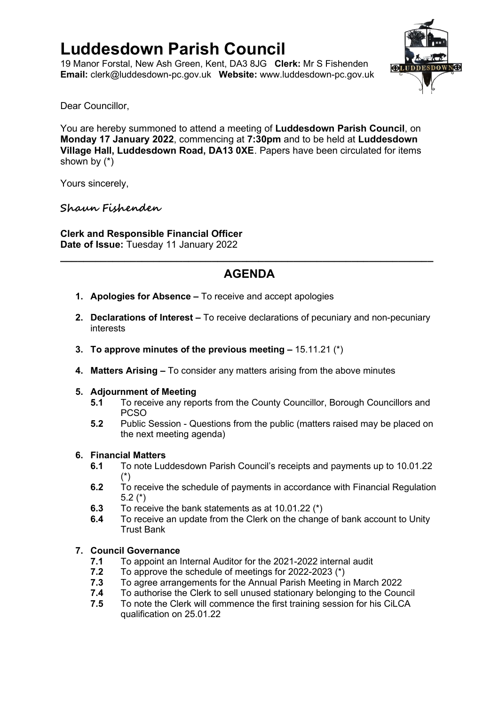# **Luddesdown Parish Council**

19 Manor Forstal, New Ash Green, Kent, DA3 8JG **Clerk:** Mr S Fishenden **Email:** [clerk@luddesdown-pc.gov.uk](mailto:clerk@luddesdown-pc.gov.uk) **Website:** www.luddesdown-pc.gov.uk



Dear Councillor,

You are hereby summoned to attend a meeting of **Luddesdown Parish Council**, on **Monday 17 January 2022**, commencing at **7:30pm** and to be held at **Luddesdown Village Hall, Luddesdown Road, DA13 0XE**. Papers have been circulated for items shown by (\*)

Yours sincerely,

### **Shaun Fishenden**

**Clerk and Responsible Financial Officer Date of Issue:** Tuesday 11 January 2022

## **AGENDA**

**\_\_\_\_\_\_\_\_\_\_\_\_\_\_\_\_\_\_\_\_\_\_\_\_\_\_\_\_\_\_\_\_\_\_\_\_\_\_\_\_\_\_\_\_\_\_\_\_\_\_\_\_\_\_\_\_\_\_\_\_\_\_\_\_**

- **1. Apologies for Absence –** To receive and accept apologies
- **2. Declarations of Interest –** To receive declarations of pecuniary and non-pecuniary interests
- **3. To approve minutes of the previous meeting –** 15.11.21 (\*)
- **4. Matters Arising –** To consider any matters arising from the above minutes

### **5. Adjournment of Meeting**

- **5.1** To receive any reports from the County Councillor, Borough Councillors and PCSO
- **5.2** Public Session Questions from the public (matters raised may be placed on the next meeting agenda)

### **6. Financial Matters**

- **6.1** To note Luddesdown Parish Council's receipts and payments up to 10.01.22 (\*)
- **6.2** To receive the schedule of payments in accordance with Financial Regulation 5.2 (\*)
- **6.3** To receive the bank statements as at 10.01.22 (\*)
- **6.4** To receive an update from the Clerk on the change of bank account to Unity Trust Bank

### **7. Council Governance**

- **7.1** To appoint an Internal Auditor for the 2021-2022 internal audit
- **7.2** To approve the schedule of meetings for 2022-2023 (\*)
- **7.3** To agree arrangements for the Annual Parish Meeting in March 2022
- **7.4** To authorise the Clerk to sell unused stationary belonging to the Council
- **7.5** To note the Clerk will commence the first training session for his CiLCA qualification on 25.01.22